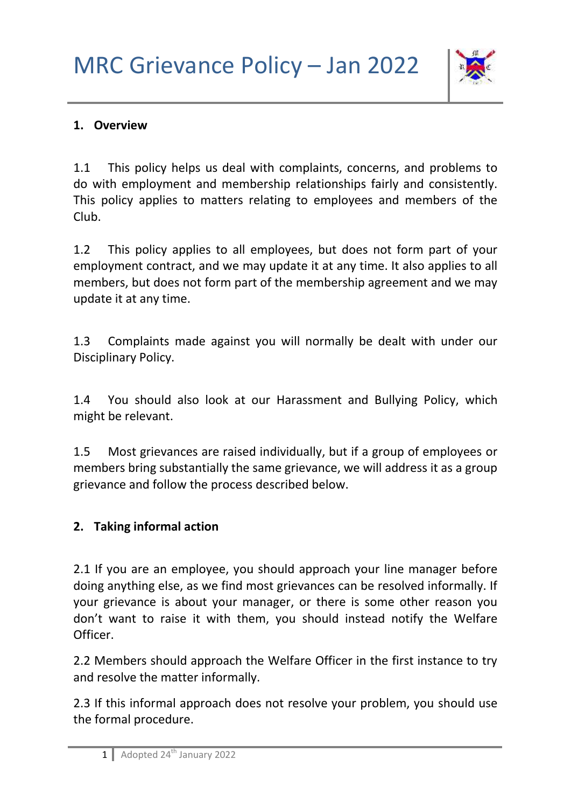

### **1. Overview**

1.1 This policy helps us deal with complaints, concerns, and problems to do with employment and membership relationships fairly and consistently. This policy applies to matters relating to employees and members of the Club.

1.2 This policy applies to all employees, but does not form part of your employment contract, and we may update it at any time. It also applies to all members, but does not form part of the membership agreement and we may update it at any time.

1.3 Complaints made against you will normally be dealt with under our Disciplinary Policy.

1.4 You should also look at our Harassment and Bullying Policy, which might be relevant.

1.5 Most grievances are raised individually, but if a group of employees or members bring substantially the same grievance, we will address it as a group grievance and follow the process described below.

### **2. Taking informal action**

2.1 If you are an employee, you should approach your line manager before doing anything else, as we find most grievances can be resolved informally. If your grievance is about your manager, or there is some other reason you don't want to raise it with them, you should instead notify the Welfare Officer.

2.2 Members should approach the Welfare Officer in the first instance to try and resolve the matter informally.

2.3 If this informal approach does not resolve your problem, you should use the formal procedure.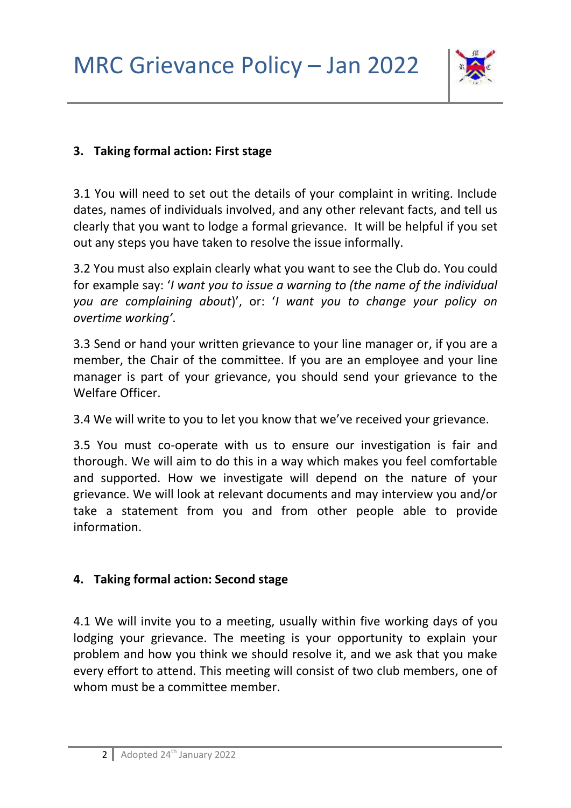

### **3. Taking formal action: First stage**

3.1 You will need to set out the details of your complaint in writing. Include dates, names of individuals involved, and any other relevant facts, and tell us clearly that you want to lodge a formal grievance. It will be helpful if you set out any steps you have taken to resolve the issue informally.

3.2 You must also explain clearly what you want to see the Club do. You could for example say: '*I want you to issue a warning to (the name of the individual you are complaining about*)', or: '*I want you to change your policy on overtime working'*.

3.3 Send or hand your written grievance to your line manager or, if you are a member, the Chair of the committee. If you are an employee and your line manager is part of your grievance, you should send your grievance to the Welfare Officer.

3.4 We will write to you to let you know that we've received your grievance.

3.5 You must co-operate with us to ensure our investigation is fair and thorough. We will aim to do this in a way which makes you feel comfortable and supported. How we investigate will depend on the nature of your grievance. We will look at relevant documents and may interview you and/or take a statement from you and from other people able to provide information.

# **4. Taking formal action: Second stage**

4.1 We will invite you to a meeting, usually within five working days of you lodging your grievance. The meeting is your opportunity to explain your problem and how you think we should resolve it, and we ask that you make every effort to attend. This meeting will consist of two club members, one of whom must be a committee member.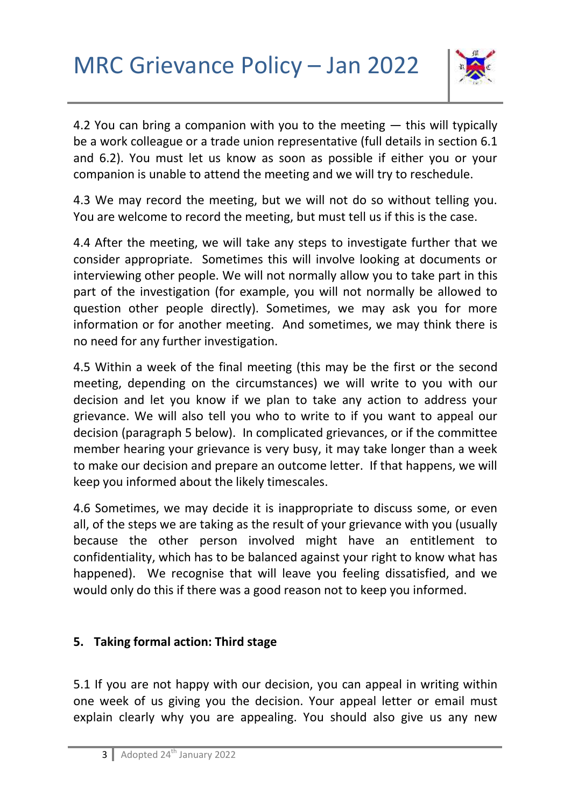

4.2 You can bring a companion with you to the meeting — this will typically be a work colleague or a trade union representative (full details in section 6.1 and 6.2). You must let us know as soon as possible if either you or your companion is unable to attend the meeting and we will try to reschedule.

4.3 We may record the meeting, but we will not do so without telling you. You are welcome to record the meeting, but must tell us if this is the case.

4.4 After the meeting, we will take any steps to investigate further that we consider appropriate. Sometimes this will involve looking at documents or interviewing other people. We will not normally allow you to take part in this part of the investigation (for example, you will not normally be allowed to question other people directly). Sometimes, we may ask you for more information or for another meeting. And sometimes, we may think there is no need for any further investigation.

4.5 Within a week of the final meeting (this may be the first or the second meeting, depending on the circumstances) we will write to you with our decision and let you know if we plan to take any action to address your grievance. We will also tell you who to write to if you want to appeal our decision (paragraph 5 below). In complicated grievances, or if the committee member hearing your grievance is very busy, it may take longer than a week to make our decision and prepare an outcome letter. If that happens, we will keep you informed about the likely timescales.

4.6 Sometimes, we may decide it is inappropriate to discuss some, or even all, of the steps we are taking as the result of your grievance with you (usually because the other person involved might have an entitlement to confidentiality, which has to be balanced against your right to know what has happened). We recognise that will leave you feeling dissatisfied, and we would only do this if there was a good reason not to keep you informed.

# **5. Taking formal action: Third stage**

5.1 If you are not happy with our decision, you can appeal in writing within one week of us giving you the decision. Your appeal letter or email must explain clearly why you are appealing. You should also give us any new